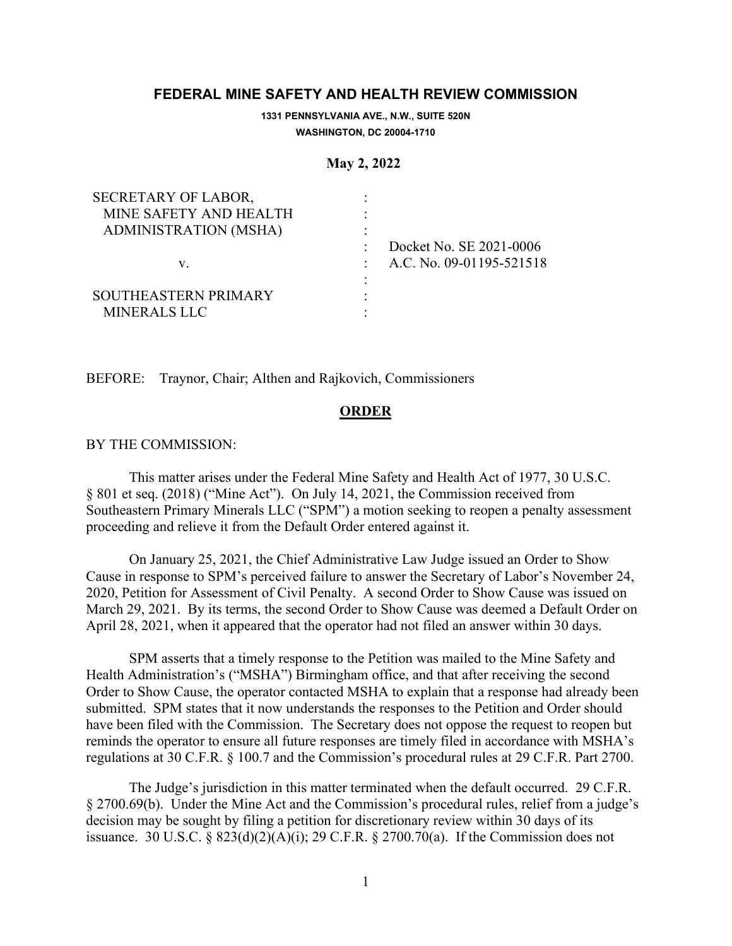## **FEDERAL MINE SAFETY AND HEALTH REVIEW COMMISSION**

**1331 PENNSYLVANIA AVE., N.W., SUITE 520N WASHINGTON, DC 20004-1710**

## **May 2, 2022**

| SECRETARY OF LABOR,          |                          |
|------------------------------|--------------------------|
| MINE SAFETY AND HEALTH       |                          |
| <b>ADMINISTRATION (MSHA)</b> |                          |
|                              | Docket No. SE 2021-0006  |
| V.                           | A.C. No. 09-01195-521518 |
|                              |                          |
| SOUTHEASTERN PRIMARY         |                          |
| MINERALS LLC                 |                          |

BEFORE: Traynor, Chair; Althen and Rajkovich, Commissioners

## **ORDER**

## BY THE COMMISSION:

This matter arises under the Federal Mine Safety and Health Act of 1977, 30 U.S.C. § 801 et seq. (2018) ("Mine Act"). On July 14, 2021, the Commission received from Southeastern Primary Minerals LLC ("SPM") a motion seeking to reopen a penalty assessment proceeding and relieve it from the Default Order entered against it.

On January 25, 2021, the Chief Administrative Law Judge issued an Order to Show Cause in response to SPM's perceived failure to answer the Secretary of Labor's November 24, 2020, Petition for Assessment of Civil Penalty. A second Order to Show Cause was issued on March 29, 2021. By its terms, the second Order to Show Cause was deemed a Default Order on April 28, 2021, when it appeared that the operator had not filed an answer within 30 days.

SPM asserts that a timely response to the Petition was mailed to the Mine Safety and Health Administration's ("MSHA") Birmingham office, and that after receiving the second Order to Show Cause, the operator contacted MSHA to explain that a response had already been submitted. SPM states that it now understands the responses to the Petition and Order should have been filed with the Commission. The Secretary does not oppose the request to reopen but reminds the operator to ensure all future responses are timely filed in accordance with MSHA's regulations at 30 C.F.R. § 100.7 and the Commission's procedural rules at 29 C.F.R. Part 2700.

The Judge's jurisdiction in this matter terminated when the default occurred. 29 C.F.R. § 2700.69(b). Under the Mine Act and the Commission's procedural rules, relief from a judge's decision may be sought by filing a petition for discretionary review within 30 days of its issuance. 30 U.S.C. §  $823(d)(2)(A)(i)$ ; 29 C.F.R. § 2700.70(a). If the Commission does not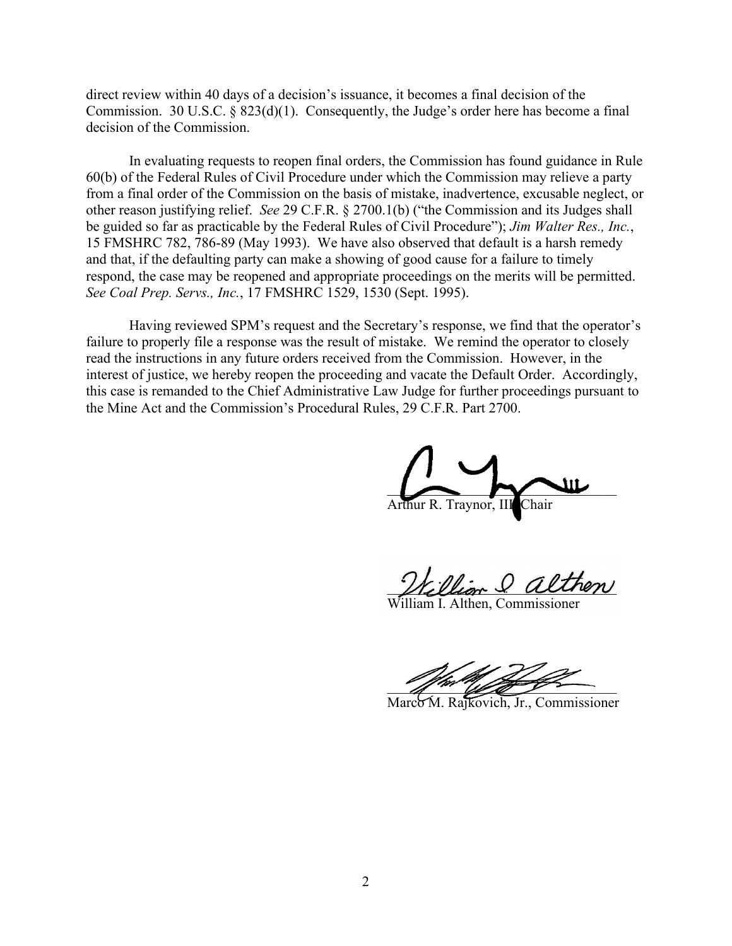direct review within 40 days of a decision's issuance, it becomes a final decision of the Commission. 30 U.S.C. § 823(d)(1). Consequently, the Judge's order here has become a final decision of the Commission.

In evaluating requests to reopen final orders, the Commission has found guidance in Rule 60(b) of the Federal Rules of Civil Procedure under which the Commission may relieve a party from a final order of the Commission on the basis of mistake, inadvertence, excusable neglect, or other reason justifying relief. *See* 29 C.F.R. § 2700.1(b) ("the Commission and its Judges shall be guided so far as practicable by the Federal Rules of Civil Procedure"); *Jim Walter Res., Inc.*, 15 FMSHRC 782, 786-89 (May 1993). We have also observed that default is a harsh remedy and that, if the defaulting party can make a showing of good cause for a failure to timely respond, the case may be reopened and appropriate proceedings on the merits will be permitted. *See Coal Prep. Servs., Inc.*, 17 FMSHRC 1529, 1530 (Sept. 1995).

Having reviewed SPM's request and the Secretary's response, we find that the operator's failure to properly file a response was the result of mistake. We remind the operator to closely read the instructions in any future orders received from the Commission. However, in the interest of justice, we hereby reopen the proceeding and vacate the Default Order. Accordingly, this case is remanded to the Chief Administrative Law Judge for further proceedings pursuant to the Mine Act and the Commission's Procedural Rules, 29 C.F.R. Part 2700.

 $\sim$   $\sim$   $\sim$ 

Arthur R. Traynor, I

William & althen

William I. Althen, Commissioner

and the same of the same of the same

Marco M. Rajkovich, Jr., Commissioner